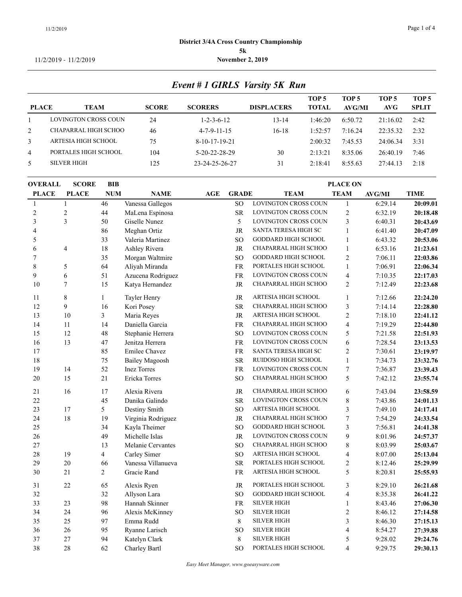#### 11/2/2019 - 11/2/2019 **November 2, 2019**

|                | Event # 1 GIRLS Varsity 5K Run |              |                       |                   |                                  |                        |               |                       |  |
|----------------|--------------------------------|--------------|-----------------------|-------------------|----------------------------------|------------------------|---------------|-----------------------|--|
| <b>PLACE</b>   | <b>TEAM</b>                    | <b>SCORE</b> | <b>SCORERS</b>        | <b>DISPLACERS</b> | TOP <sub>5</sub><br><b>TOTAL</b> | TOP 5<br><b>AVG/MI</b> | TOP 5<br>AVG- | TOP 5<br><b>SPLIT</b> |  |
|                | LOVINGTON CROSS COUN           | 24           | $1 - 2 - 3 - 6 - 12$  | $13 - 14$         | 1:46:20                          | 6:50.72                | 21:16.02      | 2:42                  |  |
| 2              | CHAPARRAL HIGH SCHOO           | 46           | $4 - 7 - 9 - 11 - 15$ | $16-18$           | 1:52:57                          | 7:16.24                | 22:35.32      | 2:32                  |  |
| 3              | ARTESIA HIGH SCHOOL            | 75           | $8-10-17-19-21$       |                   | 2:00:32                          | 7:45.53                | 24:06.34      | 3:31                  |  |
| $\overline{4}$ | PORTALES HIGH SCHOOL           | 104          | $5-20-22-28-29$       | 30                | 2:13:21                          | 8:35.06                | 26:40.19      | 7:46                  |  |
| 5              | <b>SILVER HIGH</b>             | 125          | 23-24-25-26-27        | 31                | 2:18:41                          | 8:55.63                | 27:44.13      | 2:18                  |  |

| <b>OVERALL</b> | <b>SCORE</b>   | <b>BIB</b>     | <b>PLACE ON</b>       |     |                 |                            |                         |               |             |  |
|----------------|----------------|----------------|-----------------------|-----|-----------------|----------------------------|-------------------------|---------------|-------------|--|
| <b>PLACE</b>   | <b>PLACE</b>   | <b>NUM</b>     | <b>NAME</b>           | AGE | <b>GRADE</b>    | <b>TEAM</b>                | <b>TEAM</b>             | <b>AVG/MI</b> | <b>TIME</b> |  |
| $\mathbf{1}$   | 1              | 46             | Vanessa Gallegos      |     | SO <sub>1</sub> | LOVINGTON CROSS COUN       | $\mathbf{1}$            | 6:29.14       | 20:09.01    |  |
| $\sqrt{2}$     | $\overline{c}$ | 44             | MaLena Espinosa       |     | <b>SR</b>       | LOVINGTON CROSS COUN       | $\sqrt{2}$              | 6:32.19       | 20:18.48    |  |
| 3              | 3              | 50             | Giselle Nunez         |     | 5               | LOVINGTON CROSS COUN       | 3                       | 6:40.31       | 20:43.69    |  |
| 4              |                | 86             | Meghan Ortiz          |     | <b>JR</b>       | SANTA TERESA HIGH SC       | $\mathbf{1}$            | 6:41.40       | 20:47.09    |  |
| 5              |                | 33             | Valeria Martinez      |     | <sub>SO</sub>   | <b>GODDARD HIGH SCHOOL</b> | $\mathbf{1}$            | 6:43.32       | 20:53.06    |  |
| 6              | 4              | 18             | Ashley Rivera         |     | <b>JR</b>       | CHAPARRAL HIGH SCHOO       | $\mathbf{1}$            | 6:53.16       | 21:23.61    |  |
| 7              |                | 35             | Morgan Waltmire       |     | SO <sub>1</sub> | <b>GODDARD HIGH SCHOOL</b> | $\overline{c}$          | 7:06.11       | 22:03.86    |  |
| 8              | 5              | 64             | Aliyah Miranda        |     | <b>FR</b>       | PORTALES HIGH SCHOOL       | $\mathbf{1}$            | 7:06.91       | 22:06.34    |  |
| 9              | 6              | 51             | Azucena Rodriguez     |     | <b>FR</b>       | LOVINGTON CROSS COUN       | 4                       | 7:10.35       | 22:17.03    |  |
| 10             | $\overline{7}$ | 15             | Katya Hernandez       |     | <b>JR</b>       | CHAPARRAL HIGH SCHOO       | $\overline{2}$          | 7:12.49       | 22:23.68    |  |
| 11             | 8              | $\mathbf{1}$   | Tayler Henry          |     | <b>JR</b>       | ARTESIA HIGH SCHOOL        | $\mathbf{1}$            | 7:12.66       | 22:24.20    |  |
| 12             | 9              | 16             | Kori Posey            |     | <b>SR</b>       | CHAPARRAL HIGH SCHOO       | 3                       | 7:14.14       | 22:28.80    |  |
| 13             | 10             | $\overline{3}$ | Maria Reyes           |     | <b>JR</b>       | ARTESIA HIGH SCHOOL        | $\mathfrak{2}$          | 7:18.10       | 22:41.12    |  |
| 14             | 11             | 14             | Daniella Garcia       |     | <b>FR</b>       | CHAPARRAL HIGH SCHOO       | $\overline{4}$          | 7:19.29       | 22:44.80    |  |
| 15             | 12             | 48             | Stephanie Herrera     |     | SO <sub>1</sub> | LOVINGTON CROSS COUN       | 5                       | 7:21.58       | 22:51.93    |  |
| 16             | 13             | $47\,$         | Jenitza Herrera       |     | <b>FR</b>       | LOVINGTON CROSS COUN       | 6                       | 7:28.54       | 23:13.53    |  |
| 17             |                | 85             | <b>Emilee Chavez</b>  |     | <b>FR</b>       | SANTA TERESA HIGH SC       | $\mathfrak{2}$          | 7:30.61       | 23:19.97    |  |
| $18\,$         |                | 75             | <b>Bailey Magoosh</b> |     | <b>SR</b>       | RUIDOSO HIGH SCHOOL        | $\mathbf{1}$            | 7:34.73       | 23:32.76    |  |
| 19             | 14             | 52             | <b>Inez Torres</b>    |     | <b>FR</b>       | LOVINGTON CROSS COUN       | $\tau$                  | 7:36.87       | 23:39.43    |  |
| 20             | 15             | 21             | Ericka Torres         |     | SO <sub>1</sub> | CHAPARRAL HIGH SCHOO       | 5                       | 7:42.12       | 23:55.74    |  |
| 21             | 16             | 17             | Alexia Rivera         |     | JR              | CHAPARRAL HIGH SCHOO       | 6                       | 7:43.04       | 23:58.59    |  |
| 22             |                | 45             | Danika Galindo        |     | <b>SR</b>       | LOVINGTON CROSS COUN       | $\,8\,$                 | 7:43.86       | 24:01.13    |  |
| 23             | 17             | 5              | Destiny Smith         |     | SO <sub>1</sub> | ARTESIA HIGH SCHOOL        | 3                       | 7:49.10       | 24:17.41    |  |
| 24             | 18             | 19             | Virginia Rodriguez    |     | JR              | CHAPARRAL HIGH SCHOO       | 7                       | 7:54.29       | 24:33.54    |  |
| 25             |                | 34             | Kayla Theimer         |     | <b>SO</b>       | <b>GODDARD HIGH SCHOOL</b> | 3                       | 7:56.81       | 24:41.38    |  |
| 26             |                | 49             | Michelle Islas        |     | JR              | LOVINGTON CROSS COUN       | 9                       | 8:01.96       | 24:57.37    |  |
| 27             |                | 13             | Melanie Cervantes     |     | <b>SO</b>       | CHAPARRAL HIGH SCHOO       | $\,8\,$                 | 8:03.99       | 25:03.67    |  |
| 28             | 19             | $\overline{4}$ | Carley Simer          |     | <sub>SO</sub>   | ARTESIA HIGH SCHOOL        | 4                       | 8:07.00       | 25:13.04    |  |
| 29             | 20             | 66             | Vanessa Villanueva    |     | <b>SR</b>       | PORTALES HIGH SCHOOL       | $\mathfrak{2}$          | 8:12.46       | 25:29.99    |  |
| 30             | 21             | $\overline{2}$ | Gracie Rand           |     | <b>FR</b>       | ARTESIA HIGH SCHOOL        | 5                       | 8:20.81       | 25:55.93    |  |
| 31             | 22             | 65             | Alexis Ryen           |     | JR              | PORTALES HIGH SCHOOL       | 3                       | 8:29.10       | 26:21.68    |  |
| 32             |                | 32             | Allyson Lara          |     | SO <sub>1</sub> | <b>GODDARD HIGH SCHOOL</b> | $\overline{4}$          | 8:35.38       | 26:41.22    |  |
| 33             | 23             | 98             | Hannah Skinner        |     | <b>FR</b>       | <b>SILVER HIGH</b>         | $\mathbf{1}$            | 8:43.46       | 27:06.30    |  |
| 34             | 24             | 96             | Alexis McKinney       |     | <sub>SO</sub>   | <b>SILVER HIGH</b>         | $\sqrt{2}$              | 8:46.12       | 27:14.58    |  |
| 35             | 25             | 97             | Emma Rudd             |     | 8               | <b>SILVER HIGH</b>         | $\overline{\mathbf{3}}$ | 8:46.30       | 27:15.13    |  |
| 36             | 26             | 95             | Ryanne Larisch        |     | <b>SO</b>       | <b>SILVER HIGH</b>         | 4                       | 8:54.27       | 27:39.88    |  |
| 37             | 27             | 94             | Katelyn Clark         |     | 8               | <b>SILVER HIGH</b>         | 5                       | 9:28.02       | 29:24.76    |  |
| 38             | 28             | 62             | Charley Bartl         |     | <b>SO</b>       | PORTALES HIGH SCHOOL       | $\overline{4}$          | 9:29.75       | 29:30.13    |  |
|                |                |                |                       |     |                 |                            |                         |               |             |  |

*Easy Meet Manager, www.goeasyware.com*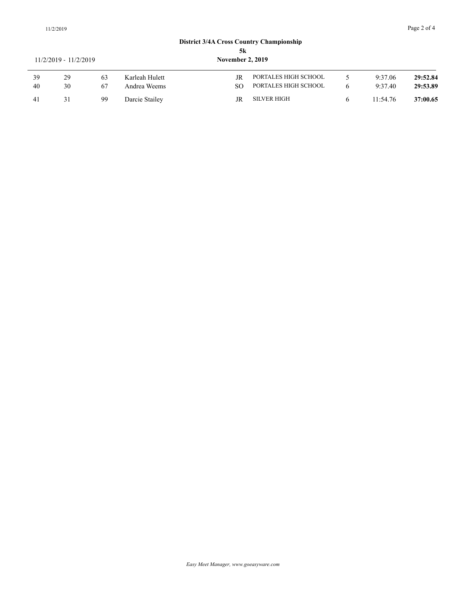# **District 3/4A Cross Country Championship 5k**<br>November 2, 2019

## 11/2/2019 - 11/2/2019 **November 2, 2019**

|    | $111202012$ $111202012$ |    |                |     |                      |          |          |
|----|-------------------------|----|----------------|-----|----------------------|----------|----------|
| 39 | 29                      | 63 | Karleah Hulett | JR  | PORTALES HIGH SCHOOL | 9:37.06  | 29:52.84 |
| 40 | 30                      | 67 | Andrea Weems   | SO. | PORTALES HIGH SCHOOL | 9:37.40  | 29:53.89 |
| 41 |                         | 99 | Darcie Stailey | JR  | SILVER HIGH          | 11:54.76 | 37:00.65 |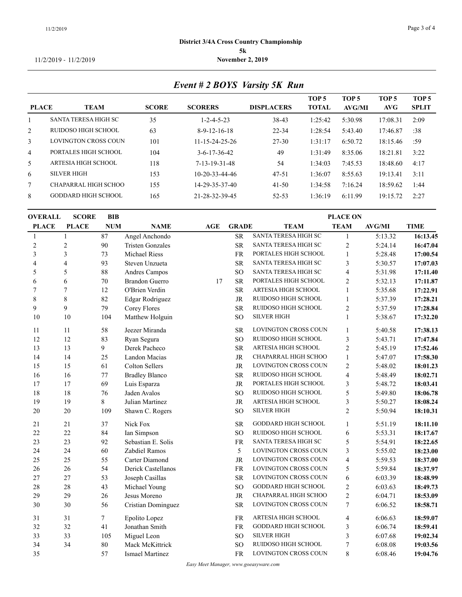#### **District 3/4A Cross Country Championship 5k** 11/2/2019 - 11/2/2019 **November 2, 2019**

*Event # 2 BOYS Varsity 5K Run*

|                |                             |              |                          |                   | TOP <sub>5</sub> | TOP 5   | TOP 5    | TOP <sub>5</sub> |
|----------------|-----------------------------|--------------|--------------------------|-------------------|------------------|---------|----------|------------------|
| <b>PLACE</b>   | <b>TEAM</b>                 | <b>SCORE</b> | <b>SCORERS</b>           | <b>DISPLACERS</b> | <b>TOTAL</b>     | AVG/MI  | AVG      | <b>SPLIT</b>     |
|                | <b>SANTA TERESA HIGH SC</b> | 35           | $1 - 2 - 4 - 5 - 23$     | 38-43             | 1:25:42          | 5:30.98 | 17:08.31 | 2:09             |
| 2              | RUIDOSO HIGH SCHOOL         | 63           | $8-9-12-16-18$           | 22-34             | 1:28:54          | 5:43.40 | 17:46.87 | :38              |
| $\mathfrak{Z}$ | <b>LOVINGTON CROSS COUN</b> | 101          | $11 - 15 - 24 - 25 - 26$ | 27-30             | 1:31:17          | 6:50.72 | 18:15.46 | :59              |
| $\overline{4}$ | PORTALES HIGH SCHOOL        | 104          | $3 - 6 - 17 - 36 - 42$   | 49                | 1:31:49          | 8:35.06 | 18:21.81 | 3:22             |
| 5              | ARTESIA HIGH SCHOOL         | 118          | 7-13-19-31-48            | 54                | 1:34:03          | 7:45.53 | 18:48.60 | 4:17             |
| 6              | <b>SILVER HIGH</b>          | 153          | $10-20-33-44-46$         | $47 - 51$         | 1:36:07          | 8:55.63 | 19:13.41 | 3:11             |
| $\tau$         | CHAPARRAL HIGH SCHOO        | 155          | 14-29-35-37-40           | $41 - 50$         | 1:34:58          | 7:16.24 | 18:59.62 | 1:44             |
| 8              | <b>GODDARD HIGH SCHOOL</b>  | 165          | 21-28-32-39-45           | $52 - 53$         | 1:36:19          | 6:11.99 | 19:15.72 | 2:27             |
|                |                             |              |                          |                   |                  |         |          |                  |

| <b>OVERALL</b> | <b>SCORE</b>   | <b>BIB</b> |                         | <b>PLACE ON</b> |                 |                            |                 |               |             |  |
|----------------|----------------|------------|-------------------------|-----------------|-----------------|----------------------------|-----------------|---------------|-------------|--|
| <b>PLACE</b>   | <b>PLACE</b>   | <b>NUM</b> | <b>NAME</b>             | AGE             | <b>GRADE</b>    | <b>TEAM</b>                | <b>TEAM</b>     | <b>AVG/MI</b> | <b>TIME</b> |  |
| $\mathbf{1}$   | $\mathbf{1}$   | 87         | Angel Anchondo          |                 | <b>SR</b>       | SANTA TERESA HIGH SC       | $\mathbf{1}$    | 5:13.32       | 16:13.45    |  |
| $\overline{c}$ | $\overline{c}$ | 90         | <b>Tristen Gonzales</b> |                 | <b>SR</b>       | SANTA TERESA HIGH SC       | $\sqrt{2}$      | 5:24.14       | 16:47.04    |  |
| 3              | 3              | 73         | <b>Michael Riess</b>    |                 | <b>FR</b>       | PORTALES HIGH SCHOOL       | $\mathbf{1}$    | 5:28.48       | 17:00.54    |  |
| 4              | $\overline{4}$ | 93         | Steven Unzueta          |                 | <b>SR</b>       | SANTA TERESA HIGH SC       | 3               | 5:30.57       | 17:07.03    |  |
| 5              | 5              | 88         | Andres Campos           |                 | SO <sub>1</sub> | SANTA TERESA HIGH SC       | 4               | 5:31.98       | 17:11.40    |  |
| 6              | 6              | $70\,$     | <b>Brandon Guerro</b>   | 17              | <b>SR</b>       | PORTALES HIGH SCHOOL       | $\sqrt{2}$      | 5:32.13       | 17:11.87    |  |
| 7              | 7              | 12         | O'Brien Verdin          |                 | <b>SR</b>       | ARTESIA HIGH SCHOOL        | $\mathbf{1}$    | 5:35.68       | 17:22.91    |  |
| 8              | $\,8\,$        | 82         | Edgar Rodriguez         |                 | <b>JR</b>       | RUIDOSO HIGH SCHOOL        | $\mathbf{1}$    | 5:37.39       | 17:28.21    |  |
| 9              | 9              | 79         | Corey Flores            |                 | <b>SR</b>       | RUIDOSO HIGH SCHOOL        | $\sqrt{2}$      | 5:37.59       | 17:28.84    |  |
| 10             | 10             | 104        | Matthew Holguin         |                 | <sub>SO</sub>   | <b>SILVER HIGH</b>         | $\mathbf{1}$    | 5:38.67       | 17:32.20    |  |
| 11             | 11             | 58         | Jeezer Miranda          |                 | <b>SR</b>       | LOVINGTON CROSS COUN       | $\overline{1}$  | 5:40.58       | 17:38.13    |  |
| 12             | 12             | 83         | Ryan Segura             |                 | <sub>SO</sub>   | RUIDOSO HIGH SCHOOL        | $\mathfrak{Z}$  | 5:43.71       | 17:47.84    |  |
| 13             | 13             | 9          | Derek Pacheco           |                 | <b>SR</b>       | ARTESIA HIGH SCHOOL        | $\mathfrak{2}$  | 5:45.19       | 17:52.46    |  |
| 14             | 14             | 25         | Landon Macias           |                 | JR              | CHAPARRAL HIGH SCHOO       | $\mathbf{1}$    | 5:47.07       | 17:58.30    |  |
| 15             | 15             | 61         | Colton Sellers          |                 | JR              | LOVINGTON CROSS COUN       | $\sqrt{2}$      | 5:48.02       | 18:01.23    |  |
| 16             | 16             | 77         | <b>Bradley Blanco</b>   |                 | <b>SR</b>       | RUIDOSO HIGH SCHOOL        | 4               | 5:48.49       | 18:02.71    |  |
| 17             | 17             | 69         | Luis Esparza            |                 | JR              | PORTALES HIGH SCHOOL       | 3               | 5:48.72       | 18:03.41    |  |
| 18             | 18             | 76         | Jaden Avalos            |                 | SO              | RUIDOSO HIGH SCHOOL        | 5               | 5:49.80       | 18:06.78    |  |
| 19             | 19             | 8          | Julian Martinez         |                 | <b>JR</b>       | ARTESIA HIGH SCHOOL        | 3               | 5:50.27       | 18:08.24    |  |
| 20             | 20             | 109        | Shawn C. Rogers         |                 | SO <sub>1</sub> | <b>SILVER HIGH</b>         | $\overline{2}$  | 5:50.94       | 18:10.31    |  |
| 21             | $21\,$         | 37         | Nick Fox                |                 | <b>SR</b>       | <b>GODDARD HIGH SCHOOL</b> | 1               | 5:51.19       | 18:11.10    |  |
| 22             | 22             | 84         | Ian Simpson             |                 | SO <sub>1</sub> | RUIDOSO HIGH SCHOOL        | 6               | 5:53.31       | 18:17.67    |  |
| 23             | 23             | 92         | Sebastian E. Solis      |                 | <b>FR</b>       | SANTA TERESA HIGH SC       | 5               | 5:54.91       | 18:22.65    |  |
| 24             | 24             | 60         | Zabdiel Ramos           |                 | 5               | LOVINGTON CROSS COUN       | 3               | 5:55.02       | 18:23.00    |  |
| 25             | 25             | 55         | Carter Diamond          |                 | <b>JR</b>       | LOVINGTON CROSS COUN       | 4               | 5:59.53       | 18:37.00    |  |
| 26             | 26             | 54         | Derick Castellanos      |                 | <b>FR</b>       | LOVINGTON CROSS COUN       | 5               | 5:59.84       | 18:37.97    |  |
| 27             | 27             | 53         | Joseph Casillas         |                 | <b>SR</b>       | LOVINGTON CROSS COUN       | 6               | 6:03.39       | 18:48.99    |  |
| 28             | 28             | 43         | Michael Young           |                 | <b>SO</b>       | <b>GODDARD HIGH SCHOOL</b> | $\mathfrak{2}$  | 6:03.63       | 18:49.73    |  |
| 29             | 29             | $26\,$     | Jesus Moreno            |                 | $\rm JR$        | CHAPARRAL HIGH SCHOO       | $\sqrt{2}$      | 6:04.71       | 18:53.09    |  |
| 30             | 30             | 56         | Cristian Dominguez      |                 | <b>SR</b>       | LOVINGTON CROSS COUN       | $7\phantom{.0}$ | 6:06.52       | 18:58.71    |  |
| 31             | 31             | $\tau$     | Epolito Lopez           |                 | FR              | ARTESIA HIGH SCHOOL        | 4               | 6:06.63       | 18:59.07    |  |
| 32             | 32             | 41         | Jonathan Smith          |                 | <b>FR</b>       | GODDARD HIGH SCHOOL        | 3               | 6:06.74       | 18:59.41    |  |
| 33             | 33             | 105        | Miguel Leon             |                 | SO <sub>1</sub> | <b>SILVER HIGH</b>         | 3               | 6:07.68       | 19:02.34    |  |
| 34             | 34             | $80\,$     | Mack McKittrick         |                 | <sub>SO</sub>   | RUIDOSO HIGH SCHOOL        | 7               | 6:08.08       | 19:03.56    |  |
| 35             |                | 57         | Ismael Martinez         |                 | <b>FR</b>       | LOVINGTON CROSS COUN       | 8               | 6:08.46       | 19:04.76    |  |
|                |                |            |                         |                 |                 |                            |                 |               |             |  |

*Easy Meet Manager, www.goeasyware.com*